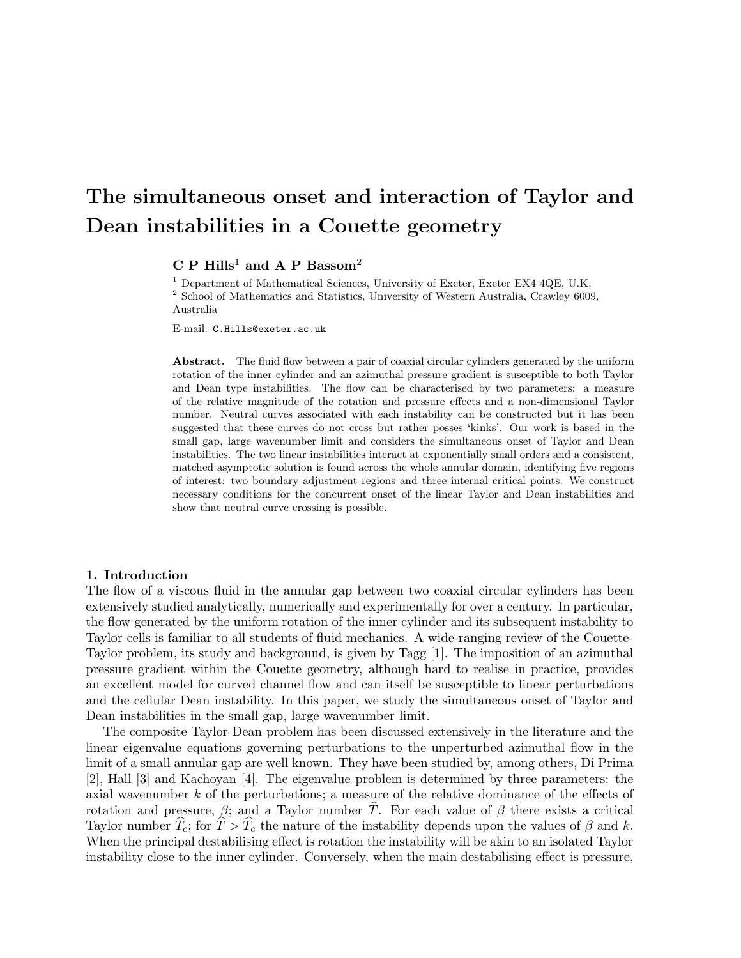# The simultaneous onset and interaction of Taylor and Dean instabilities in a Couette geometry

 $C$  P Hills<sup>1</sup> and A P Bassom<sup>2</sup>

<sup>1</sup> Department of Mathematical Sciences, University of Exeter, Exeter EX4 4QE, U.K. <sup>2</sup> School of Mathematics and Statistics, University of Western Australia, Crawley 6009, Australia

E-mail: C.Hills@exeter.ac.uk

Abstract. The fluid flow between a pair of coaxial circular cylinders generated by the uniform rotation of the inner cylinder and an azimuthal pressure gradient is susceptible to both Taylor and Dean type instabilities. The flow can be characterised by two parameters: a measure of the relative magnitude of the rotation and pressure effects and a non-dimensional Taylor number. Neutral curves associated with each instability can be constructed but it has been suggested that these curves do not cross but rather posses 'kinks'. Our work is based in the small gap, large wavenumber limit and considers the simultaneous onset of Taylor and Dean instabilities. The two linear instabilities interact at exponentially small orders and a consistent, matched asymptotic solution is found across the whole annular domain, identifying five regions of interest: two boundary adjustment regions and three internal critical points. We construct necessary conditions for the concurrent onset of the linear Taylor and Dean instabilities and show that neutral curve crossing is possible.

## 1. Introduction

The flow of a viscous fluid in the annular gap between two coaxial circular cylinders has been extensively studied analytically, numerically and experimentally for over a century. In particular, the flow generated by the uniform rotation of the inner cylinder and its subsequent instability to Taylor cells is familiar to all students of fluid mechanics. A wide-ranging review of the Couette-Taylor problem, its study and background, is given by Tagg [1]. The imposition of an azimuthal pressure gradient within the Couette geometry, although hard to realise in practice, provides an excellent model for curved channel flow and can itself be susceptible to linear perturbations and the cellular Dean instability. In this paper, we study the simultaneous onset of Taylor and Dean instabilities in the small gap, large wavenumber limit.

The composite Taylor-Dean problem has been discussed extensively in the literature and the linear eigenvalue equations governing perturbations to the unperturbed azimuthal flow in the limit of a small annular gap are well known. They have been studied by, among others, Di Prima [2], Hall [3] and Kachoyan [4]. The eigenvalue problem is determined by three parameters: the axial wavenumber k of the perturbations; a measure of the relative dominance of the effects of rotation and pressure,  $\beta$ ; and a Taylor number  $\hat{T}$ . For each value of  $\beta$  there exists a critical Taylor number  $\hat{T}_c$ ; for  $\hat{T} > \hat{T}_c$  the nature of the instability depends upon the values of  $\beta$  and k. When the principal destabilising effect is rotation the instability will be akin to an isolated Taylor instability close to the inner cylinder. Conversely, when the main destabilising effect is pressure,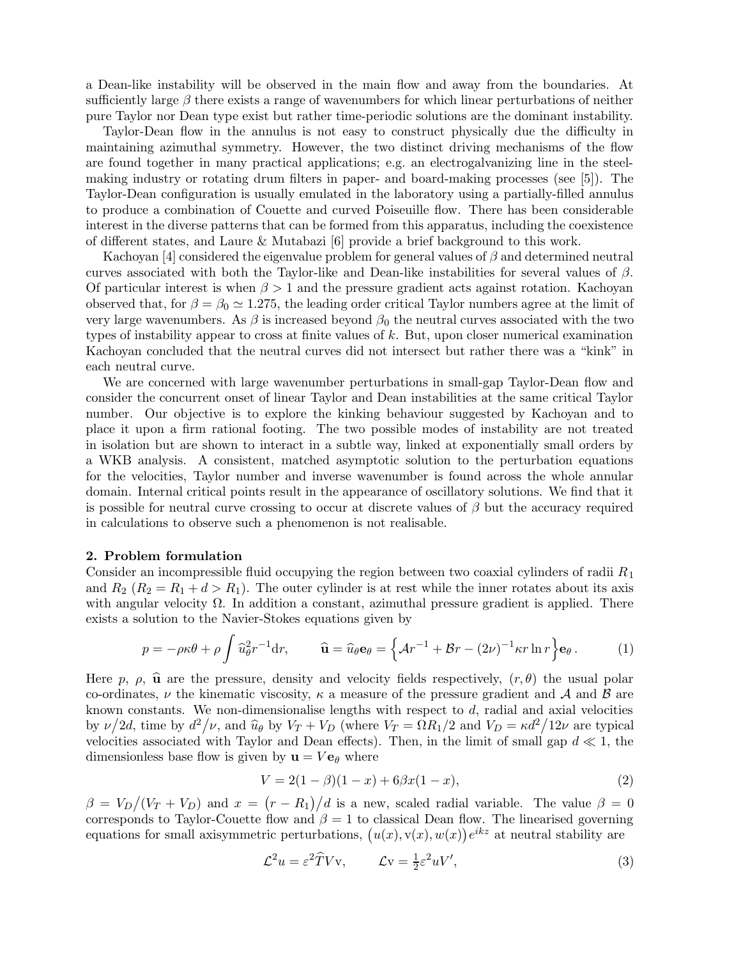a Dean-like instability will be observed in the main flow and away from the boundaries. At sufficiently large  $\beta$  there exists a range of wavenumbers for which linear perturbations of neither pure Taylor nor Dean type exist but rather time-periodic solutions are the dominant instability.

Taylor-Dean flow in the annulus is not easy to construct physically due the difficulty in maintaining azimuthal symmetry. However, the two distinct driving mechanisms of the flow are found together in many practical applications; e.g. an electrogalvanizing line in the steelmaking industry or rotating drum filters in paper- and board-making processes (see [5]). The Taylor-Dean configuration is usually emulated in the laboratory using a partially-filled annulus to produce a combination of Couette and curved Poiseuille flow. There has been considerable interest in the diverse patterns that can be formed from this apparatus, including the coexistence of different states, and Laure & Mutabazi [6] provide a brief background to this work.

Kachoyan [4] considered the eigenvalue problem for general values of  $\beta$  and determined neutral curves associated with both the Taylor-like and Dean-like instabilities for several values of  $\beta$ . Of particular interest is when  $\beta > 1$  and the pressure gradient acts against rotation. Kachoyan observed that, for  $\beta = \beta_0 \approx 1.275$ , the leading order critical Taylor numbers agree at the limit of very large wavenumbers. As  $\beta$  is increased beyond  $\beta_0$  the neutral curves associated with the two types of instability appear to cross at finite values of  $k$ . But, upon closer numerical examination Kachoyan concluded that the neutral curves did not intersect but rather there was a "kink" in each neutral curve.

We are concerned with large wavenumber perturbations in small-gap Taylor-Dean flow and consider the concurrent onset of linear Taylor and Dean instabilities at the same critical Taylor number. Our objective is to explore the kinking behaviour suggested by Kachoyan and to place it upon a firm rational footing. The two possible modes of instability are not treated in isolation but are shown to interact in a subtle way, linked at exponentially small orders by a WKB analysis. A consistent, matched asymptotic solution to the perturbation equations for the velocities, Taylor number and inverse wavenumber is found across the whole annular domain. Internal critical points result in the appearance of oscillatory solutions. We find that it is possible for neutral curve crossing to occur at discrete values of  $\beta$  but the accuracy required in calculations to observe such a phenomenon is not realisable.

#### 2. Problem formulation

Consider an incompressible fluid occupying the region between two coaxial cylinders of radii  $R_1$ and  $R_2$   $(R_2 = R_1 + d > R_1)$ . The outer cylinder is at rest while the inner rotates about its axis with angular velocity  $\Omega$ . In addition a constant, azimuthal pressure gradient is applied. There exists a solution to the Navier-Stokes equations given by

$$
p = -\rho \kappa \theta + \rho \int \widehat{u}_{\theta}^2 r^{-1} dr, \qquad \widehat{\mathbf{u}} = \widehat{u}_{\theta} \mathbf{e}_{\theta} = \left\{ \mathcal{A} r^{-1} + \mathcal{B} r - (2\nu)^{-1} \kappa r \ln r \right\} \mathbf{e}_{\theta}.
$$
 (1)

Here p,  $\rho$ ,  $\hat{u}$  are the pressure, density and velocity fields respectively,  $(r, \theta)$  the usual polar co-ordinates,  $\nu$  the kinematic viscosity,  $\kappa$  a measure of the pressure gradient and  $\mathcal A$  and  $\mathcal B$  are known constants. We non-dimensionalise lengths with respect to  $d$ , radial and axial velocities by  $\nu/2d$ , time by  $d^2/\nu$ , and  $\hat{u}_{\theta}$  by  $V_T + V_D$  (where  $V_T = \Omega R_1/2$  and  $V_D = \kappa d^2/12\nu$  are typical velocities associated with Taylor and Dean effects). Then, in the limit of small gap  $d \ll 1$ , the dimensionless base flow is given by  $\mathbf{u} = V \mathbf{e}_{\theta}$  where

$$
V = 2(1 - \beta)(1 - x) + 6\beta x(1 - x),
$$
\n(2)

 $\beta = V_D/(V_T + V_D)$  and  $x = (r - R_1)/d$  is a new, scaled radial variable. The value  $\beta = 0$ corresponds to Taylor-Couette flow and  $\beta = 1$  to classical Dean flow. The linearised governing equations for small axisymmetric perturbations,  $(u(x), v(x), w(x))e^{ikz}$  at neutral stability are

$$
\mathcal{L}^2 u = \varepsilon^2 \hat{T} V \mathbf{v}, \qquad \mathcal{L} \mathbf{v} = \frac{1}{2} \varepsilon^2 u V', \tag{3}
$$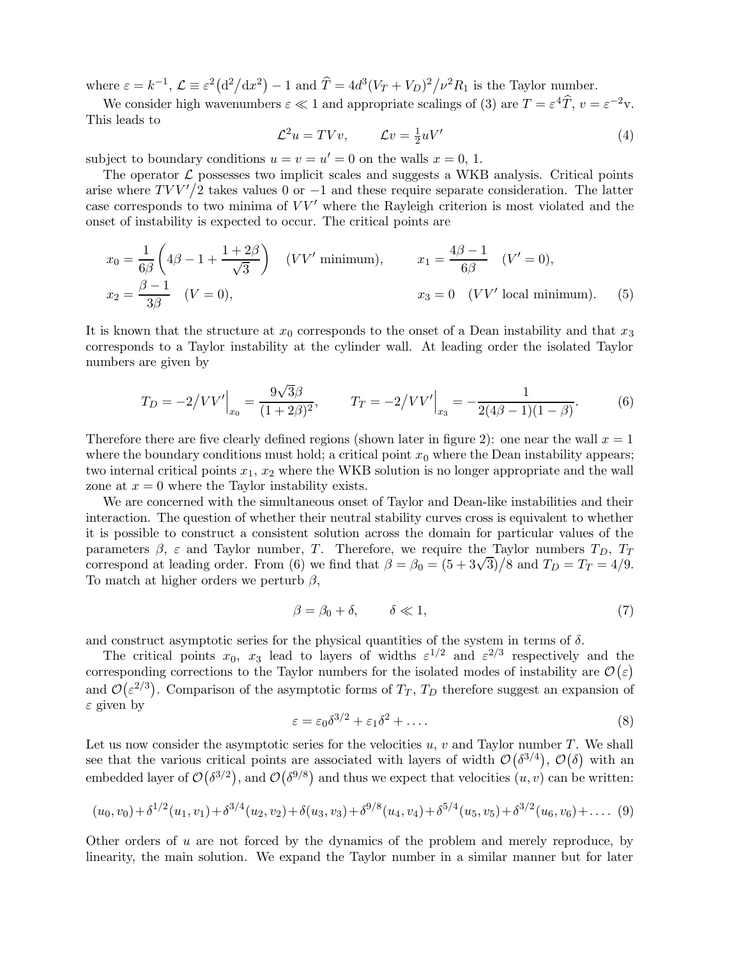where  $\varepsilon = k^{-1}$ ,  $\mathcal{L} \equiv \varepsilon^2 (d^2/dx^2) - 1$  and  $\hat{T} = 4d^3(V_T + V_D)^2 / \nu^2 R_1$  is the Taylor number.

We consider high wavenumbers  $\varepsilon \ll 1$  and appropriate scalings of (3) are  $T = \varepsilon^4 \hat{T}$ ,  $v = \varepsilon^{-2}v$ . This leads to

$$
\mathcal{L}^2 u = TVv, \qquad \mathcal{L}v = \frac{1}{2} uV' \tag{4}
$$

subject to boundary conditions  $u = v = u' = 0$  on the walls  $x = 0, 1$ .

The operator  $\mathcal L$  possesses two implicit scales and suggests a WKB analysis. Critical points arise where  $TVV/2$  takes values 0 or -1 and these require separate consideration. The latter case corresponds to two minima of  $VV'$  where the Rayleigh criterion is most violated and the onset of instability is expected to occur. The critical points are

$$
x_0 = \frac{1}{6\beta} \left( 4\beta - 1 + \frac{1+2\beta}{\sqrt{3}} \right) \quad (VV' \text{ minimum}), \qquad x_1 = \frac{4\beta - 1}{6\beta} \quad (V' = 0),
$$
  

$$
x_2 = \frac{\beta - 1}{3\beta} \quad (V = 0), \qquad x_3 = 0 \quad (VV' \text{ local minimum}). \tag{5}
$$

It is known that the structure at  $x_0$  corresponds to the onset of a Dean instability and that  $x_3$ corresponds to a Taylor instability at the cylinder wall. At leading order the isolated Taylor numbers are given by

$$
T_D = -2/VV'\Big|_{x_0} = \frac{9\sqrt{3}\beta}{(1+2\beta)^2}, \qquad T_T = -2/VV'\Big|_{x_3} = -\frac{1}{2(4\beta-1)(1-\beta)}.\tag{6}
$$

Therefore there are five clearly defined regions (shown later in figure 2): one near the wall  $x = 1$ where the boundary conditions must hold; a critical point  $x_0$  where the Dean instability appears; two internal critical points  $x_1, x_2$  where the WKB solution is no longer appropriate and the wall zone at  $x = 0$  where the Taylor instability exists.

We are concerned with the simultaneous onset of Taylor and Dean-like instabilities and their interaction. The question of whether their neutral stability curves cross is equivalent to whether it is possible to construct a consistent solution across the domain for particular values of the parameters  $\beta$ ,  $\varepsilon$  and Taylor number, T. Therefore, we require the Taylor numbers  $T_D$ ,  $T_T$ correspond at leading order. From (6) we find that  $\beta = \beta_0 = (5 + 3\sqrt{3})/8$  and  $T_D = T_T = 4/9$ . To match at higher orders we perturb  $\beta$ ,

$$
\beta = \beta_0 + \delta, \qquad \delta \ll 1,\tag{7}
$$

and construct asymptotic series for the physical quantities of the system in terms of  $\delta$ .

The critical points  $x_0$ ,  $x_3$  lead to layers of widths  $\varepsilon^{1/2}$  and  $\varepsilon^{2/3}$  respectively and the corresponding corrections to the Taylor numbers for the isolated modes of instability are  $\mathcal{O}(\varepsilon)$ and  $\mathcal{O}(\varepsilon^{2/3})$ . Comparison of the asymptotic forms of  $T_T$ ,  $T_D$  therefore suggest an expansion of  $\varepsilon$  given by

$$
\varepsilon = \varepsilon_0 \delta^{3/2} + \varepsilon_1 \delta^2 + \dots \tag{8}
$$

Let us now consider the asymptotic series for the velocities  $u, v$  and Taylor number  $T$ . We shall see that the various critical points are associated with layers of width  $\mathcal{O}(\delta^{3/4})$ ,  $\mathcal{O}(\delta)$  with an embedded layer of  $\mathcal{O}(\delta^{3/2})$ , and  $\mathcal{O}(\delta^{9/8})$  and thus we expect that velocities  $(u, v)$  can be written:

$$
(u_0, v_0) + \delta^{1/2}(u_1, v_1) + \delta^{3/4}(u_2, v_2) + \delta(u_3, v_3) + \delta^{9/8}(u_4, v_4) + \delta^{5/4}(u_5, v_5) + \delta^{3/2}(u_6, v_6) + \dots
$$
 (9)

Other orders of  $u$  are not forced by the dynamics of the problem and merely reproduce, by linearity, the main solution. We expand the Taylor number in a similar manner but for later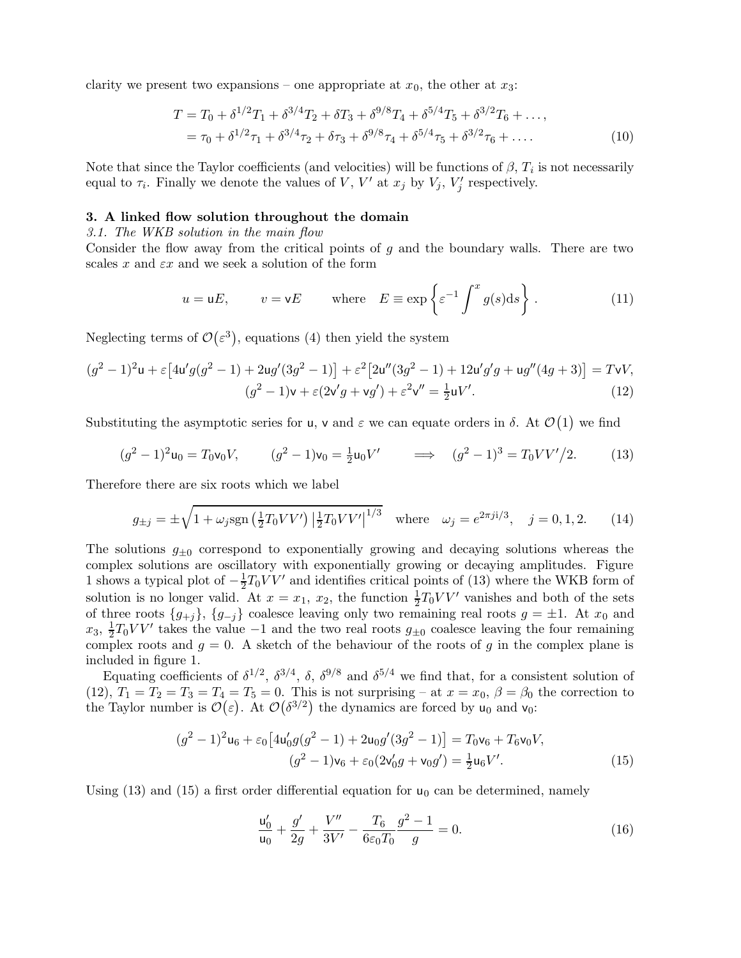clarity we present two expansions – one appropriate at  $x_0$ , the other at  $x_3$ :

$$
T = T_0 + \delta^{1/2} T_1 + \delta^{3/4} T_2 + \delta T_3 + \delta^{9/8} T_4 + \delta^{5/4} T_5 + \delta^{3/2} T_6 + \dots,
$$
  
=  $\tau_0 + \delta^{1/2} \tau_1 + \delta^{3/4} \tau_2 + \delta \tau_3 + \delta^{9/8} \tau_4 + \delta^{5/4} \tau_5 + \delta^{3/2} \tau_6 + \dots$  (10)

Note that since the Taylor coefficients (and velocities) will be functions of  $\beta$ ,  $T_i$  is not necessarily equal to  $\tau_i$ . Finally we denote the values of V, V' at  $x_j$  by  $V_j$ ,  $V'_j$  $\zeta_j'$  respectively.

## 3. A linked flow solution throughout the domain

3.1. The WKB solution in the main flow

Consider the flow away from the critical points of g and the boundary walls. There are two scales x and  $\varepsilon x$  and we seek a solution of the form

$$
u = uE
$$
,  $v = vE$  where  $E \equiv \exp\left\{\varepsilon^{-1} \int^x g(s)ds\right\}$ . (11)

Neglecting terms of  $\mathcal{O}(\varepsilon^3)$ , equations (4) then yield the system

$$
(g^{2} - 1)^{2}u + \varepsilon [4u'g(g^{2} - 1) + 2ug'(3g^{2} - 1)] + \varepsilon^{2} [2u''(3g^{2} - 1) + 12u'g'g + ug''(4g + 3)] = TvV,
$$
  

$$
(g^{2} - 1)v + \varepsilon (2v'g + vg') + \varepsilon^{2}v'' = \frac{1}{2}uV'.
$$
 (12)

Substituting the asymptotic series for  $\mathsf{u}$ ,  $\mathsf{v}$  and  $\varepsilon$  we can equate orders in  $\delta$ . At  $\mathcal{O}(1)$  we find

$$
(g^{2} - 1)^{2}u_{0} = T_{0}v_{0}V, \qquad (g^{2} - 1)v_{0} = \frac{1}{2}u_{0}V' \qquad \Longrightarrow \quad (g^{2} - 1)^{3} = T_{0}VV'/2. \tag{13}
$$

Therefore there are six roots which we label

$$
g_{\pm j} = \pm \sqrt{1 + \omega_j \text{sgn}\left(\frac{1}{2}T_0VV'\right) \left|\frac{1}{2}T_0VV'\right|^{1/3}} \quad \text{where} \quad \omega_j = e^{2\pi j i/3}, \quad j = 0, 1, 2. \tag{14}
$$

The solutions  $g_{\pm 0}$  correspond to exponentially growing and decaying solutions whereas the complex solutions are oscillatory with exponentially growing or decaying amplitudes. Figure 1 shows a typical plot of  $-\frac{1}{2}$  $\frac{1}{2}T_0VV'$  and identifies critical points of (13) where the WKB form of solution is no longer valid. At  $x = x_1, x_2$ , the function  $\frac{1}{2}T_0VV'$  vanishes and both of the sets of three roots  $\{g_{+j}\}, \{g_{-j}\}\$ coalesce leaving only two remaining real roots  $g = \pm 1$ . At  $x_0$  and  $x_3, \frac{1}{2}$  $\frac{1}{2}T_0VV'$  takes the value −1 and the two real roots  $g_{\pm 0}$  coalesce leaving the four remaining complex roots and  $g = 0$ . A sketch of the behaviour of the roots of g in the complex plane is included in figure 1.

Equating coefficients of  $\delta^{1/2}$ ,  $\delta^{3/4}$ ,  $\delta$ ,  $\delta^{9/8}$  and  $\delta^{5/4}$  we find that, for a consistent solution of (12),  $T_1 = T_2 = T_3 = T_4 = T_5 = 0$ . This is not surprising – at  $x = x_0$ ,  $\beta = \beta_0$  the correction to the Taylor number is  $\mathcal{O}(\varepsilon)$ . At  $\mathcal{O}(\delta^{3/2})$  the dynamics are forced by  $u_0$  and  $v_0$ :

$$
(g^{2} - 1)^{2}u_{6} + \varepsilon_{0}\left[4u_{0}'g(g^{2} - 1) + 2u_{0}g'(3g^{2} - 1)\right] = T_{0}v_{6} + T_{6}v_{0}V,
$$
  

$$
(g^{2} - 1)v_{6} + \varepsilon_{0}(2v_{0}'g + v_{0}g') = \frac{1}{2}u_{6}V'.
$$
 (15)

Using  $(13)$  and  $(15)$  a first order differential equation for  $u_0$  can be determined, namely

$$
\frac{\mathsf{u}'_0}{\mathsf{u}_0} + \frac{g'}{2g} + \frac{V''}{3V'} - \frac{T_6}{6\varepsilon_0 T_0} \frac{g^2 - 1}{g} = 0.
$$
 (16)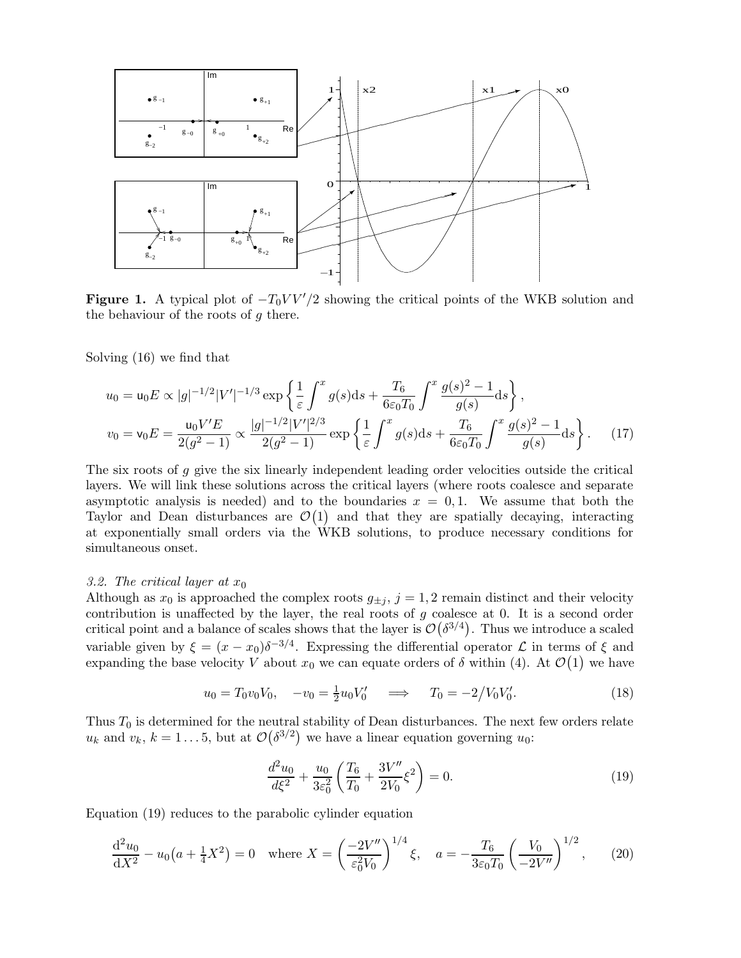

Figure 1. A typical plot of  $-T_0VV'/2$  showing the critical points of the WKB solution and the behaviour of the roots of  $g$  there.

Solving (16) we find that

$$
u_0 = \mathsf{u}_0 E \propto |g|^{-1/2} |V'|^{-1/3} \exp\left\{\frac{1}{\varepsilon} \int^x g(s) \mathrm{d}s + \frac{T_6}{6\varepsilon_0 T_0} \int^x \frac{g(s)^2 - 1}{g(s)} \mathrm{d}s\right\},\,
$$
  

$$
v_0 = \mathsf{v}_0 E = \frac{\mathsf{u}_0 V' E}{2(g^2 - 1)} \propto \frac{|g|^{-1/2} |V'|^{2/3}}{2(g^2 - 1)} \exp\left\{\frac{1}{\varepsilon} \int^x g(s) \mathrm{d}s + \frac{T_6}{6\varepsilon_0 T_0} \int^x \frac{g(s)^2 - 1}{g(s)} \mathrm{d}s\right\}.\tag{17}
$$

The six roots of  $q$  give the six linearly independent leading order velocities outside the critical layers. We will link these solutions across the critical layers (where roots coalesce and separate asymptotic analysis is needed) and to the boundaries  $x = 0, 1$ . We assume that both the Taylor and Dean disturbances are  $\mathcal{O}(1)$  and that they are spatially decaying, interacting at exponentially small orders via the WKB solutions, to produce necessary conditions for simultaneous onset.

## 3.2. The critical layer at  $x_0$

Although as  $x_0$  is approached the complex roots  $g_{\pm j}$ ,  $j = 1, 2$  remain distinct and their velocity contribution is unaffected by the layer, the real roots of  $g$  coalesce at 0. It is a second order critical point and a balance of scales shows that the layer is  $\mathcal{O}(\delta^{3/4})$ . Thus we introduce a scaled variable given by  $\xi = (x - x_0)\delta^{-3/4}$ . Expressing the differential operator  $\mathcal L$  in terms of  $\xi$  and expanding the base velocity V about  $x_0$  we can equate orders of  $\delta$  within (4). At  $\mathcal{O}(1)$  we have

$$
u_0 = T_0 v_0 V_0, \quad -v_0 = \frac{1}{2} u_0 V'_0 \quad \implies \quad T_0 = -2/V_0 V'_0. \tag{18}
$$

Thus  $T_0$  is determined for the neutral stability of Dean disturbances. The next few orders relate  $u_k$  and  $v_k$ ,  $k = 1...5$ , but at  $\mathcal{O}(\delta^{3/2})$  we have a linear equation governing  $u_0$ :

$$
\frac{d^2u_0}{d\xi^2} + \frac{u_0}{3\varepsilon_0^2} \left(\frac{T_6}{T_0} + \frac{3V''}{2V_0}\xi^2\right) = 0.
$$
\n(19)

Equation (19) reduces to the parabolic cylinder equation

$$
\frac{\mathrm{d}^2 u_0}{\mathrm{d}X^2} - u_0 \left(a + \frac{1}{4} X^2\right) = 0 \quad \text{where } X = \left(\frac{-2V''}{\varepsilon_0^2 V_0}\right)^{1/4} \xi, \quad a = -\frac{T_6}{3\varepsilon_0 T_0} \left(\frac{V_0}{-2V''}\right)^{1/2},\tag{20}
$$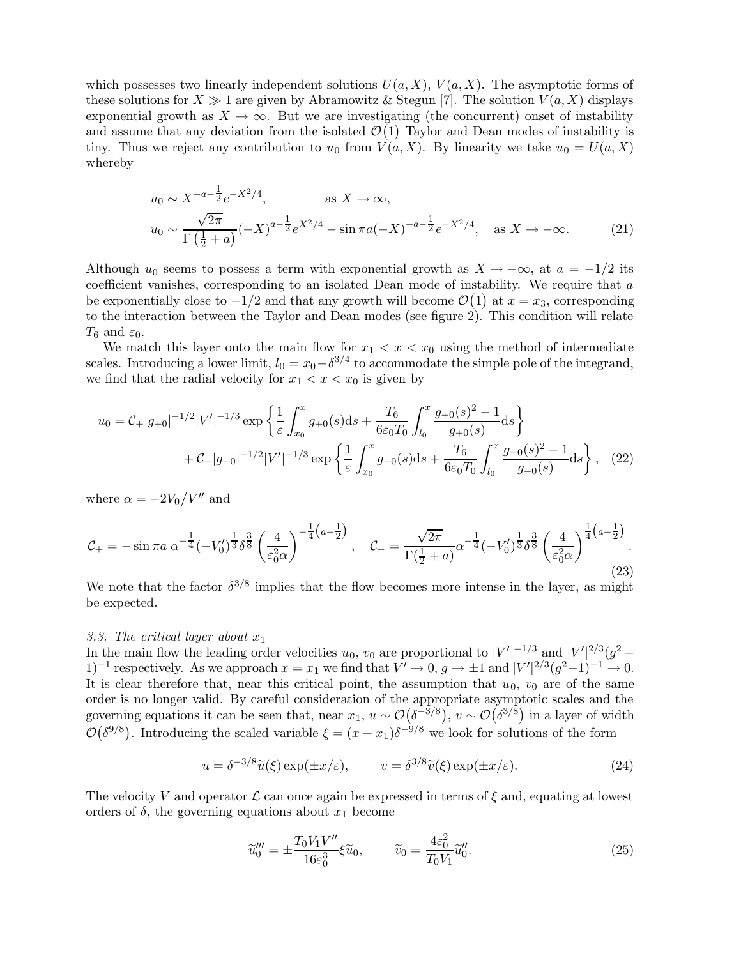which possesses two linearly independent solutions  $U(a, X)$ ,  $V(a, X)$ . The asymptotic forms of these solutions for  $X \gg 1$  are given by Abramowitz & Stegun [7]. The solution  $V(a, X)$  displays exponential growth as  $X \to \infty$ . But we are investigating (the concurrent) onset of instability and assume that any deviation from the isolated  $\mathcal{O}(1)$  Taylor and Dean modes of instability is tiny. Thus we reject any contribution to  $u_0$  from  $V(a, X)$ . By linearity we take  $u_0 = U(a, X)$ whereby

$$
u_0 \sim X^{-a-\frac{1}{2}} e^{-X^2/4}, \qquad \text{as } X \to \infty,
$$
  

$$
u_0 \sim \frac{\sqrt{2\pi}}{\Gamma(\frac{1}{2}+a)} (-X)^{a-\frac{1}{2}} e^{X^2/4} - \sin \pi a (-X)^{-a-\frac{1}{2}} e^{-X^2/4}, \quad \text{as } X \to -\infty.
$$
 (21)

Although  $u_0$  seems to possess a term with exponential growth as  $X \to -\infty$ , at  $a = -1/2$  its coefficient vanishes, corresponding to an isolated Dean mode of instability. We require that  $a$ be exponentially close to  $-1/2$  and that any growth will become  $\mathcal{O}(1)$  at  $x = x_3$ , corresponding to the interaction between the Taylor and Dean modes (see figure 2). This condition will relate  $T_6$  and  $\varepsilon_0$ .

We match this layer onto the main flow for  $x_1 < x < x_0$  using the method of intermediate scales. Introducing a lower limit,  $l_0 = x_0 - \delta^{3/4}$  to accommodate the simple pole of the integrand, we find that the radial velocity for  $x_1 < x < x_0$  is given by

$$
u_0 = C_+ |g_{+0}|^{-1/2} |V'|^{-1/3} \exp\left\{\frac{1}{\varepsilon} \int_{x_0}^x g_{+0}(s) ds + \frac{T_6}{6\varepsilon_0 T_0} \int_{l_0}^x \frac{g_{+0}(s)^2 - 1}{g_{+0}(s)} ds\right\} + C_- |g_{-0}|^{-1/2} |V'|^{-1/3} \exp\left\{\frac{1}{\varepsilon} \int_{x_0}^x g_{-0}(s) ds + \frac{T_6}{6\varepsilon_0 T_0} \int_{l_0}^x \frac{g_{-0}(s)^2 - 1}{g_{-0}(s)} ds\right\}, \quad (22)
$$

where  $\alpha = -2V_0/V''$  and

$$
\mathcal{C}_{+} = -\sin \pi a \; \alpha^{-\frac{1}{4}} (-V_0')^{\frac{1}{3}} \delta^{\frac{3}{8}} \left(\frac{4}{\varepsilon_0^2 \alpha}\right)^{-\frac{1}{4}\left(a-\frac{1}{2}\right)}, \quad \mathcal{C}_{-} = \frac{\sqrt{2\pi}}{\Gamma(\frac{1}{2}+a)} \alpha^{-\frac{1}{4}} (-V_0')^{\frac{1}{3}} \delta^{\frac{3}{8}} \left(\frac{4}{\varepsilon_0^2 \alpha}\right)^{\frac{1}{4}\left(a-\frac{1}{2}\right)}.
$$
\n(23)

We note that the factor  $\delta^{3/8}$  implies that the flow becomes more intense in the layer, as might be expected.

## 3.3. The critical layer about  $x_1$

In the main flow the leading order velocities  $u_0$ ,  $v_0$  are proportional to  $|V'|^{-1/3}$  and  $|V'|^{2/3}(g^2 -$ 1)<sup>-1</sup> respectively. As we approach  $x = x_1$  we find that  $V' \to 0$ ,  $g \to \pm 1$  and  $|V'|^{2/3} (g^2-1)^{-1} \to 0$ . It is clear therefore that, near this critical point, the assumption that  $u_0$ ,  $v_0$  are of the same order is no longer valid. By careful consideration of the appropriate asymptotic scales and the governing equations it can be seen that, near  $x_1, u \sim \mathcal{O}(\delta^{-3/8}), v \sim \mathcal{O}(\delta^{3/8})$  in a layer of width  $\mathcal{O}(\delta^{9/8})$ . Introducing the scaled variable  $\xi = (x - x_1)\delta^{-9/8}$  we look for solutions of the form

$$
u = \delta^{-3/8} \tilde{u}(\xi) \exp(\pm x/\varepsilon), \qquad v = \delta^{3/8} \tilde{v}(\xi) \exp(\pm x/\varepsilon). \tag{24}
$$

The velocity V and operator  $\mathcal L$  can once again be expressed in terms of  $\xi$  and, equating at lowest orders of  $\delta$ , the governing equations about  $x_1$  become

$$
\widetilde{u}_0''' = \pm \frac{T_0 V_1 V''}{16 \varepsilon_0^3} \xi \widetilde{u}_0, \qquad \widetilde{v}_0 = \frac{4 \varepsilon_0^2}{T_0 V_1} \widetilde{u}_0''.
$$
\n(25)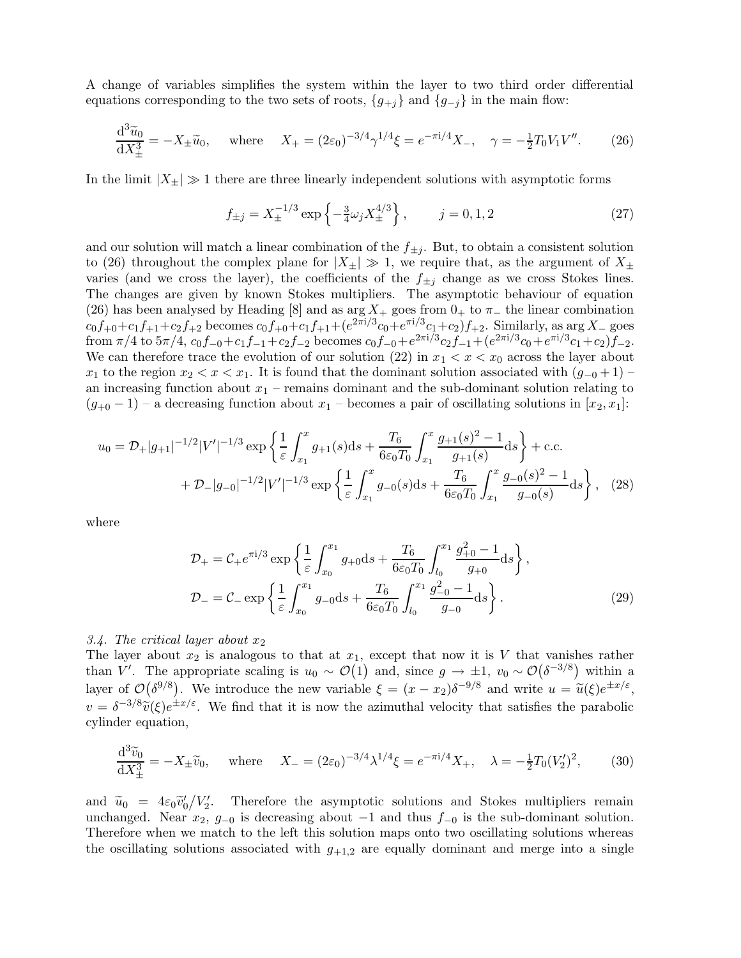A change of variables simplifies the system within the layer to two third order differential equations corresponding to the two sets of roots,  $\{g_{+j}\}\$  and  $\{g_{-j}\}\$  in the main flow:

$$
\frac{\mathrm{d}^3 \widetilde{u}_0}{\mathrm{d}X_{\pm}^3} = -X_{\pm} \widetilde{u}_0, \quad \text{where} \quad X_{+} = (2\varepsilon_0)^{-3/4} \gamma^{1/4} \xi = e^{-\pi i/4} X_{-}, \quad \gamma = -\frac{1}{2} T_0 V_1 V''.
$$
 (26)

In the limit  $|X_{\pm}| \gg 1$  there are three linearly independent solutions with asymptotic forms

$$
f_{\pm j} = X_{\pm}^{-1/3} \exp\left\{-\frac{3}{4}\omega_j X_{\pm}^{4/3}\right\}, \qquad j = 0, 1, 2 \tag{27}
$$

and our solution will match a linear combination of the  $f_{\pm j}$ . But, to obtain a consistent solution to (26) throughout the complex plane for  $|X_{\pm}| \gg 1$ , we require that, as the argument of  $X_{\pm}$ varies (and we cross the layer), the coefficients of the  $f_{\pm j}$  change as we cross Stokes lines. The changes are given by known Stokes multipliers. The asymptotic behaviour of equation (26) has been analysed by Heading [8] and as arg  $X_+$  goes from  $0_+$  to  $\pi_-$  the linear combination  $c_0f_{+0}+c_1f_{+1}+c_2f_{+2}$  becomes  $c_0f_{+0}+c_1f_{+1}+(e^{2\pi i/3}c_0+e^{\pi i/3}c_1+c_2)f_{+2}$ . Similarly, as  $\arg X_-$  goes from  $\pi/4$  to  $5\pi/4$ ,  $c_0 f_{-0} + c_1 f_{-1} + c_2 f_{-2}$  becomes  $c_0 f_{-0} + e^{2\pi i/3} c_2 f_{-1} + (e^{2\pi i/3} c_0 + e^{\pi i/3} c_1 + c_2) f_{-2}$ . We can therefore trace the evolution of our solution (22) in  $x_1 < x < x_0$  across the layer about  $x_1$  to the region  $x_2 < x < x_1$ . It is found that the dominant solution associated with  $(g_{-0} + 1)$ an increasing function about  $x_1$  – remains dominant and the sub-dominant solution relating to  $(g_{+0}-1)$  – a decreasing function about  $x_1$  – becomes a pair of oscillating solutions in  $[x_2, x_1]$ :

$$
u_0 = \mathcal{D}_+ |g_{+1}|^{-1/2} |V'|^{-1/3} \exp\left\{\frac{1}{\varepsilon} \int_{x_1}^x g_{+1}(s) ds + \frac{T_6}{6\varepsilon_0 T_0} \int_{x_1}^x \frac{g_{+1}(s)^2 - 1}{g_{+1}(s)} ds\right\} + \text{c.c.}
$$
  
+  $\mathcal{D}_- |g_{-0}|^{-1/2} |V'|^{-1/3} \exp\left\{\frac{1}{\varepsilon} \int_{x_1}^x g_{-0}(s) ds + \frac{T_6}{6\varepsilon_0 T_0} \int_{x_1}^x \frac{g_{-0}(s)^2 - 1}{g_{-0}(s)} ds\right\},$  (28)

where

$$
\mathcal{D}_{+} = \mathcal{C}_{+} e^{\pi i/3} \exp \left\{ \frac{1}{\varepsilon} \int_{x_0}^{x_1} g_{+0} \mathrm{d}s + \frac{T_6}{6\varepsilon_0 T_0} \int_{l_0}^{x_1} \frac{g_{+0}^2 - 1}{g_{+0}} \mathrm{d}s \right\},\
$$
  

$$
\mathcal{D}_{-} = \mathcal{C}_{-} \exp \left\{ \frac{1}{\varepsilon} \int_{x_0}^{x_1} g_{-0} \mathrm{d}s + \frac{T_6}{6\varepsilon_0 T_0} \int_{l_0}^{x_1} \frac{g_{-0}^2 - 1}{g_{-0}} \mathrm{d}s \right\}.
$$
 (29)

## 3.4. The critical layer about  $x_2$

The layer about  $x_2$  is analogous to that at  $x_1$ , except that now it is V that vanishes rather than V'. The appropriate scaling is  $u_0 \sim \mathcal{O}(1)$  and, since  $g \to \pm 1$ ,  $v_0 \sim \mathcal{O}(\delta^{-3/8})$  within a layer of  $\mathcal{O}(\delta^{9/8})$ . We introduce the new variable  $\xi = (x - x_2)\delta^{-9/8}$  and write  $u = \tilde{u}(\xi)e^{\pm x/\varepsilon}$ ,  $v = \delta^{-3/8} \widetilde{v}(\xi) e^{\pm x/\varepsilon}$ . We find that it is now the azimuthal velocity that satisfies the parabolic cylinder equation,

$$
\frac{\mathrm{d}^3 \tilde{v}_0}{\mathrm{d}X_{\pm}^3} = -X_{\pm} \tilde{v}_0, \quad \text{where} \quad X_{-} = (2\varepsilon_0)^{-3/4} \lambda^{1/4} \xi = e^{-\pi i/4} X_{+}, \quad \lambda = -\frac{1}{2} T_0 (V_2')^2, \tag{30}
$$

and  $\widetilde{u}_0 = 4\varepsilon_0 \widetilde{v}_0'$  $\frac{1}{0}/V'_{2}$ 2 . Therefore the asymptotic solutions and Stokes multipliers remain unchanged. Near  $x_2, g_{-0}$  is decreasing about  $-1$  and thus  $f_{-0}$  is the sub-dominant solution. Therefore when we match to the left this solution maps onto two oscillating solutions whereas the oscillating solutions associated with  $g_{+1,2}$  are equally dominant and merge into a single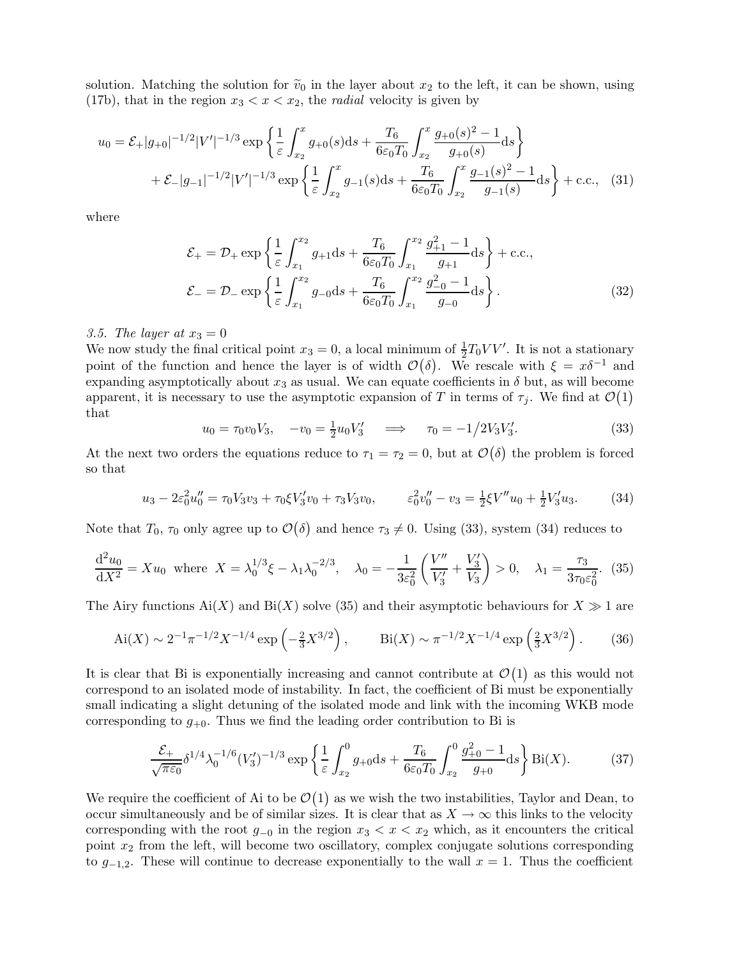solution. Matching the solution for  $\tilde{v}_0$  in the layer about  $x_2$  to the left, it can be shown, using (17b), that in the region  $x_3 < x < x_2$ , the *radial* velocity is given by

$$
u_0 = \mathcal{E}_+ |g_{+0}|^{-1/2} |V'|^{-1/3} \exp\left\{\frac{1}{\varepsilon} \int_{x_2}^x g_{+0}(s) ds + \frac{T_6}{6\varepsilon_0 T_0} \int_{x_2}^x \frac{g_{+0}(s)^2 - 1}{g_{+0}(s)} ds\right\}
$$
  
+  $\mathcal{E}_- |g_{-1}|^{-1/2} |V'|^{-1/3} \exp\left\{\frac{1}{\varepsilon} \int_{x_2}^x g_{-1}(s) ds + \frac{T_6}{6\varepsilon_0 T_0} \int_{x_2}^x \frac{g_{-1}(s)^2 - 1}{g_{-1}(s)} ds\right\} + \text{c.c.,}$  (31)

where

$$
\mathcal{E}_{+} = \mathcal{D}_{+} \exp \left\{ \frac{1}{\varepsilon} \int_{x_{1}}^{x_{2}} g_{+1} ds + \frac{T_{6}}{6\varepsilon_{0} T_{0}} \int_{x_{1}}^{x_{2}} \frac{g_{+1}^{2} - 1}{g_{+1}} ds \right\} + \text{c.c.},
$$
\n
$$
\mathcal{E}_{-} = \mathcal{D}_{-} \exp \left\{ \frac{1}{\varepsilon} \int_{x_{1}}^{x_{2}} g_{-0} ds + \frac{T_{6}}{6\varepsilon_{0} T_{0}} \int_{x_{1}}^{x_{2}} \frac{g_{-0}^{2} - 1}{g_{-0}} ds \right\}.
$$
\n(32)

## 3.5. The layer at  $x_3 = 0$

We now study the final critical point  $x_3 = 0$ , a local minimum of  $\frac{1}{2}T_0VV'$ . It is not a stationary point of the function and hence the layer is of width  $\mathcal{O}(\delta)$ . We rescale with  $\xi = x\delta^{-1}$  and expanding asymptotically about  $x_3$  as usual. We can equate coefficients in  $\delta$  but, as will become apparent, it is necessary to use the asymptotic expansion of T in terms of  $\tau_j$ . We find at  $\mathcal{O}(1)$ that

$$
u_0 = \tau_0 v_0 V_3, \quad -v_0 = \frac{1}{2} u_0 V_3' \quad \implies \quad \tau_0 = -1/2 V_3 V_3'. \tag{33}
$$

At the next two orders the equations reduce to  $\tau_1 = \tau_2 = 0$ , but at  $\mathcal{O}(\delta)$  the problem is forced so that

$$
u_3 - 2\varepsilon_0^2 u_0'' = \tau_0 V_3 v_3 + \tau_0 \xi V_3' v_0 + \tau_3 V_3 v_0, \qquad \varepsilon_0^2 v_0'' - v_3 = \frac{1}{2} \xi V'' u_0 + \frac{1}{2} V_3' u_3. \tag{34}
$$

Note that  $T_0$ ,  $\tau_0$  only agree up to  $\mathcal{O}(\delta)$  and hence  $\tau_3 \neq 0$ . Using (33), system (34) reduces to

$$
\frac{\mathrm{d}^2 u_0}{\mathrm{d}X^2} = X u_0 \text{ where } X = \lambda_0^{1/3} \xi - \lambda_1 \lambda_0^{-2/3}, \quad \lambda_0 = -\frac{1}{3\varepsilon_0^2} \left( \frac{V''}{V'_3} + \frac{V'_3}{V_3} \right) > 0, \quad \lambda_1 = \frac{\tau_3}{3\tau_0 \varepsilon_0^2}.
$$
 (35)

The Airy functions  $Ai(X)$  and  $Bi(X)$  solve (35) and their asymptotic behaviours for  $X \gg 1$  are

$$
\text{Ai}(X) \sim 2^{-1} \pi^{-1/2} X^{-1/4} \exp\left(-\frac{2}{3} X^{3/2}\right), \qquad \text{Bi}(X) \sim \pi^{-1/2} X^{-1/4} \exp\left(\frac{2}{3} X^{3/2}\right). \tag{36}
$$

It is clear that Bi is exponentially increasing and cannot contribute at  $\mathcal{O}(1)$  as this would not correspond to an isolated mode of instability. In fact, the coefficient of Bi must be exponentially small indicating a slight detuning of the isolated mode and link with the incoming WKB mode corresponding to  $g_{+0}$ . Thus we find the leading order contribution to Bi is

$$
\frac{\mathcal{E}_{+}}{\sqrt{\pi\varepsilon_0}} \delta^{1/4} \lambda_0^{-1/6} (V_3')^{-1/3} \exp\left\{ \frac{1}{\varepsilon} \int_{x_2}^0 g_{+0} \mathrm{d}s + \frac{T_6}{6\varepsilon_0 T_0} \int_{x_2}^0 \frac{g_{+0}^2 - 1}{g_{+0}} \mathrm{d}s \right\} \mathrm{Bi}(X). \tag{37}
$$

We require the coefficient of Ai to be  $\mathcal{O}(1)$  as we wish the two instabilities, Taylor and Dean, to occur simultaneously and be of similar sizes. It is clear that as  $X \to \infty$  this links to the velocity corresponding with the root  $g_{-0}$  in the region  $x_3 < x < x_2$  which, as it encounters the critical point  $x_2$  from the left, will become two oscillatory, complex conjugate solutions corresponding to  $g_{-1,2}$ . These will continue to decrease exponentially to the wall  $x = 1$ . Thus the coefficient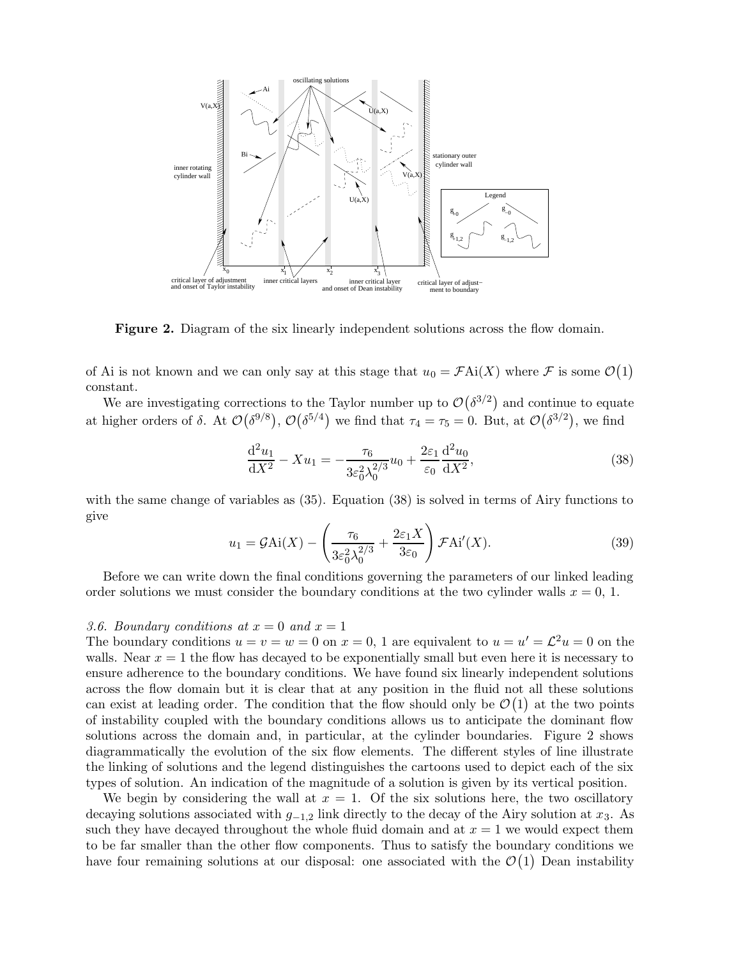

Figure 2. Diagram of the six linearly independent solutions across the flow domain.

of Ai is not known and we can only say at this stage that  $u_0 = \mathcal{F}$ Ai $(X)$  where  $\mathcal{F}$  is some  $\mathcal{O}(1)$ constant.

We are investigating corrections to the Taylor number up to  $\mathcal{O}(\delta^{3/2})$  and continue to equate at higher orders of  $\delta$ . At  $\mathcal{O}(\delta^{9/8})$ ,  $\mathcal{O}(\delta^{5/4})$  we find that  $\tau_4 = \tau_5 = 0$ . But, at  $\mathcal{O}(\delta^{3/2})$ , we find

$$
\frac{\mathrm{d}^2 u_1}{\mathrm{d}X^2} - X u_1 = -\frac{\tau_6}{3\varepsilon_0^2 \lambda_0^{2/3}} u_0 + \frac{2\varepsilon_1}{\varepsilon_0} \frac{\mathrm{d}^2 u_0}{\mathrm{d}X^2},\tag{38}
$$

with the same change of variables as (35). Equation (38) is solved in terms of Airy functions to give

$$
u_1 = \mathcal{G} \text{Ai}(X) - \left(\frac{\tau_6}{3\varepsilon_0^2 \lambda_0^{2/3}} + \frac{2\varepsilon_1 X}{3\varepsilon_0}\right) \mathcal{F} \text{Ai}'(X). \tag{39}
$$

Before we can write down the final conditions governing the parameters of our linked leading order solutions we must consider the boundary conditions at the two cylinder walls  $x = 0, 1$ .

## 3.6. Boundary conditions at  $x = 0$  and  $x = 1$

The boundary conditions  $u = v = w = 0$  on  $x = 0$ , 1 are equivalent to  $u = u' = \mathcal{L}^2 u = 0$  on the walls. Near  $x = 1$  the flow has decayed to be exponentially small but even here it is necessary to ensure adherence to the boundary conditions. We have found six linearly independent solutions across the flow domain but it is clear that at any position in the fluid not all these solutions can exist at leading order. The condition that the flow should only be  $\mathcal{O}(1)$  at the two points of instability coupled with the boundary conditions allows us to anticipate the dominant flow solutions across the domain and, in particular, at the cylinder boundaries. Figure 2 shows diagrammatically the evolution of the six flow elements. The different styles of line illustrate the linking of solutions and the legend distinguishes the cartoons used to depict each of the six types of solution. An indication of the magnitude of a solution is given by its vertical position.

We begin by considering the wall at  $x = 1$ . Of the six solutions here, the two oscillatory decaying solutions associated with  $g_{-1,2}$  link directly to the decay of the Airy solution at  $x_3$ . As such they have decayed throughout the whole fluid domain and at  $x = 1$  we would expect them to be far smaller than the other flow components. Thus to satisfy the boundary conditions we have four remaining solutions at our disposal: one associated with the  $\mathcal{O}(1)$  Dean instability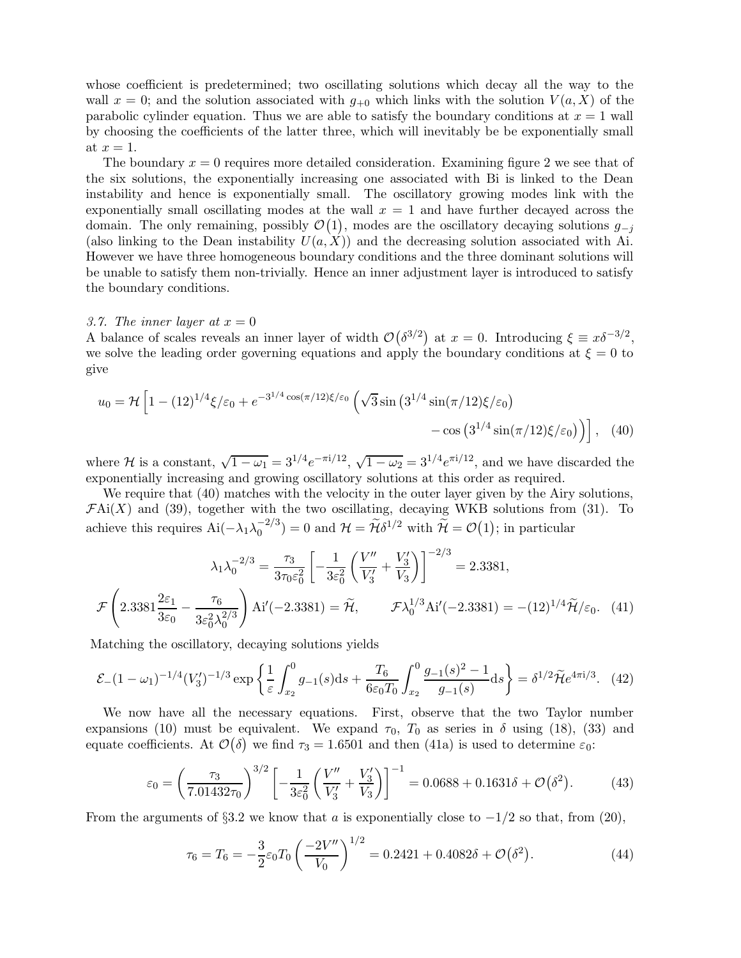whose coefficient is predetermined; two oscillating solutions which decay all the way to the wall  $x = 0$ ; and the solution associated with  $g_{+0}$  which links with the solution  $V(a, X)$  of the parabolic cylinder equation. Thus we are able to satisfy the boundary conditions at  $x = 1$  wall by choosing the coefficients of the latter three, which will inevitably be be exponentially small at  $x=1$ .

The boundary  $x = 0$  requires more detailed consideration. Examining figure 2 we see that of the six solutions, the exponentially increasing one associated with Bi is linked to the Dean instability and hence is exponentially small. The oscillatory growing modes link with the exponentially small oscillating modes at the wall  $x = 1$  and have further decayed across the domain. The only remaining, possibly  $\mathcal{O}(1)$ , modes are the oscillatory decaying solutions  $g_{-j}$ (also linking to the Dean instability  $U(a, X)$ ) and the decreasing solution associated with Ai. However we have three homogeneous boundary conditions and the three dominant solutions will be unable to satisfy them non-trivially. Hence an inner adjustment layer is introduced to satisfy the boundary conditions.

#### 3.7. The inner layer at  $x = 0$

A balance of scales reveals an inner layer of width  $\mathcal{O}(\delta^{3/2})$  at  $x = 0$ . Introducing  $\xi \equiv x\delta^{-3/2}$ , we solve the leading order governing equations and apply the boundary conditions at  $\xi = 0$  to give

$$
u_0 = \mathcal{H} \left[ 1 - (12)^{1/4} \xi / \varepsilon_0 + e^{-3^{1/4} \cos(\pi/12)\xi/\varepsilon_0} \left( \sqrt{3} \sin \left( 3^{1/4} \sin(\pi/12)\xi/\varepsilon_0 \right) - \cos \left( 3^{1/4} \sin(\pi/12)\xi/\varepsilon_0 \right) \right) \right], \quad (40)
$$

where H is a constant,  $\sqrt{1-\omega_1} = 3^{1/4} e^{-\pi i/12}$ ,  $\sqrt{1-\omega_2} = 3^{1/4} e^{\pi i/12}$ , and we have discarded the exponentially increasing and growing oscillatory solutions at this order as required.

We require that (40) matches with the velocity in the outer layer given by the Airy solutions,  $\mathcal{F}\text{Ai}(X)$  and (39), together with the two oscillating, decaying WKB solutions from (31). To achieve this requires Ai $(-\lambda_1 \lambda_0^{-2/3})$  $\hat{\mathcal{H}}_0^{-2/3}$  = 0 and  $\mathcal{H} = \widetilde{\mathcal{H}} \delta^{1/2}$  with  $\widetilde{\mathcal{H}} = \mathcal{O}(1)$ ; in particular

$$
\lambda_1 \lambda_0^{-2/3} = \frac{\tau_3}{3\tau_0 \varepsilon_0^2} \left[ -\frac{1}{3\varepsilon_0^2} \left( \frac{V''}{V'_3} + \frac{V'_3}{V_3} \right) \right]^{-2/3} = 2.3381,
$$
  

$$
\mathcal{F}\left( 2.3381 \frac{2\varepsilon_1}{3\varepsilon_0} - \frac{\tau_6}{3\varepsilon_0^2 \lambda_0^{2/3}} \right) \text{Ai}'(-2.3381) = \tilde{\mathcal{H}}, \qquad \mathcal{F} \lambda_0^{1/3} \text{Ai}'(-2.3381) = -(12)^{1/4} \tilde{\mathcal{H}}/\varepsilon_0. \tag{41}
$$

Matching the oscillatory, decaying solutions yields

$$
\mathcal{E}_{-}(1-\omega_{1})^{-1/4}(V_{3}')^{-1/3}\exp\left\{\frac{1}{\varepsilon}\int_{x_{2}}^{0}g_{-1}(s)ds+\frac{T_{6}}{6\varepsilon_{0}T_{0}}\int_{x_{2}}^{0}\frac{g_{-1}(s)^{2}-1}{g_{-1}(s)}ds\right\}=\delta^{1/2}\widetilde{\mathcal{H}}e^{4\pi i/3}.\tag{42}
$$

We now have all the necessary equations. First, observe that the two Taylor number expansions (10) must be equivalent. We expand  $\tau_0$ ,  $T_0$  as series in  $\delta$  using (18), (33) and equate coefficients. At  $\mathcal{O}(\delta)$  we find  $\tau_3 = 1.6501$  and then (41a) is used to determine  $\varepsilon_0$ :

$$
\varepsilon_0 = \left(\frac{\tau_3}{7.01432\tau_0}\right)^{3/2} \left[ -\frac{1}{3\varepsilon_0^2} \left(\frac{V''}{V'_3} + \frac{V'_3}{V_3}\right) \right]^{-1} = 0.0688 + 0.1631\delta + \mathcal{O}(\delta^2). \tag{43}
$$

From the arguments of  $\S 3.2$  we know that a is exponentially close to  $-1/2$  so that, from (20),

$$
\tau_6 = T_6 = -\frac{3}{2}\varepsilon_0 T_0 \left(\frac{-2V''}{V_0}\right)^{1/2} = 0.2421 + 0.4082\delta + \mathcal{O}(\delta^2). \tag{44}
$$